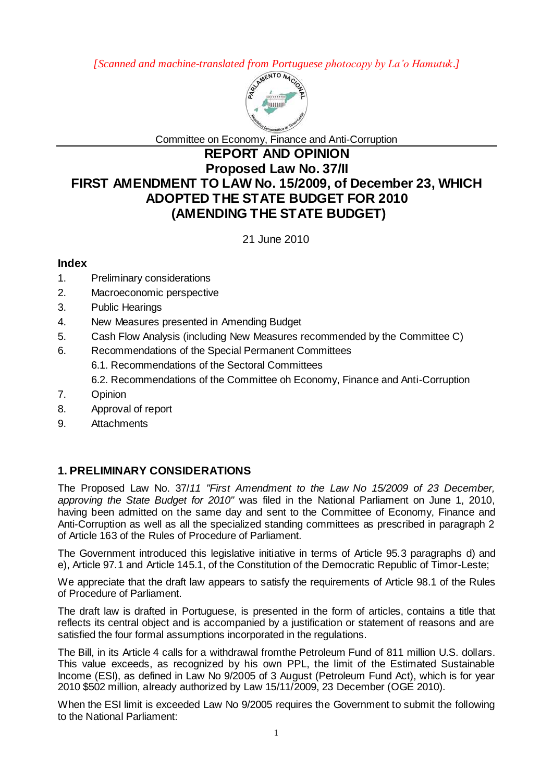*[Scanned and machine-translated from Portuguese photocopy by La'o Hamutuk.]*



Committee on Economy, Finance and Anti-Corruption

# **REPORT AND OPINION Proposed Law No. 37/II FIRST AMENDMENT TO LAW No. 15/2009, of December 23, WHICH ADOPTED THE STATE BUDGET FOR 2010 (AMENDING THE STATE BUDGET)**

21 June 2010

# **Index**

- 1. Preliminary considerations
- 2. Macroeconomic perspective
- 3. Public Hearings
- 4. New Measures presented in Amending Budget
- 5. Cash Flow Analysis (including New Measures recommended by the Committee C)
- 6. Recommendations of the Special Permanent Committees
	- 6.1. Recommendations of the Sectoral Committees
	- 6.2. Recommendations of the Committee oh Economy, Finance and Anti-Corruption
- 7. Opinion
- 8. Approval of report
- 9. Attachments

# **1. PRELIMINARY CONSIDERATIONS**

The Proposed Law No. 37/*11 "First Amendment to the Law No 15/2009 of 23 December, approving the State Budget for 2010"* was filed in the National Parliament on June 1, 2010, having been admitted on the same day and sent to the Committee of Economy, Finance and Anti-Corruption as well as all the specialized standing committees as prescribed in paragraph 2 of Article 163 of the Rules of Procedure of Parliament.

The Government introduced this legislative initiative in terms of Article 95.3 paragraphs d) and e), Article 97.1 and Article 145.1, of the Constitution of the Democratic Republic of Timor-Leste;

We appreciate that the draft law appears to satisfy the requirements of Article 98.1 of the Rules of Procedure of Parliament.

The draft law is drafted in Portuguese, is presented in the form of articles, contains a title that reflects its central object and is accompanied by a justification or statement of reasons and are satisfied the four formal assumptions incorporated in the regulations.

The Bill, in its Article 4 calls for a withdrawal fromthe Petroleum Fund of 811 million U.S. dollars. This value exceeds, as recognized by his own PPL, the limit of the Estimated Sustainable Income (ESI), as defined in Law No 9/2005 of 3 August (Petroleum Fund Act), which is for year 2010 \$502 million, already authorized by Law 15/11/2009, 23 December (OGE 2010).

When the ESI limit is exceeded Law No 9/2005 requires the Government to submit the following to the National Parliament: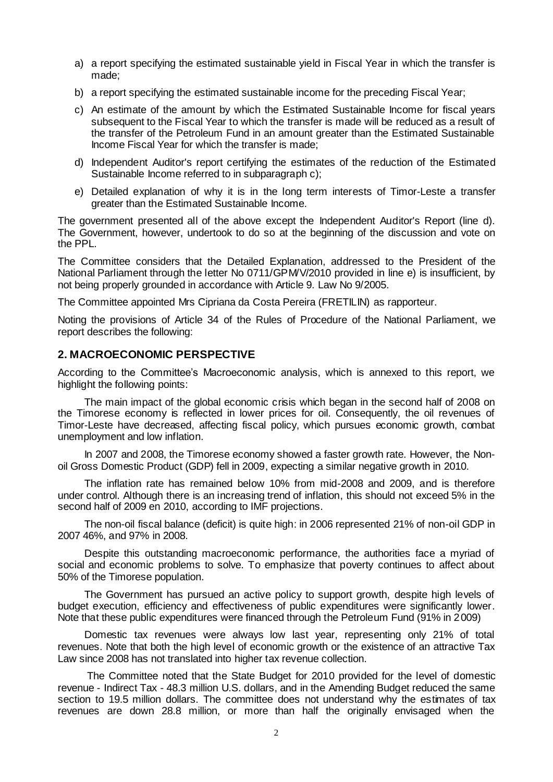- a) a report specifying the estimated sustainable yield in Fiscal Year in which the transfer is made;
- b) a report specifying the estimated sustainable income for the preceding Fiscal Year;
- c) An estimate of the amount by which the Estimated Sustainable Income for fiscal years subsequent to the Fiscal Year to which the transfer is made will be reduced as a result of the transfer of the Petroleum Fund in an amount greater than the Estimated Sustainable Income Fiscal Year for which the transfer is made;
- d) Independent Auditor's report certifying the estimates of the reduction of the Estimated Sustainable Income referred to in subparagraph c);
- e) Detailed explanation of why it is in the long term interests of Timor-Leste a transfer greater than the Estimated Sustainable Income.

The government presented all of the above except the Independent Auditor's Report (line d). The Government, however, undertook to do so at the beginning of the discussion and vote on the PPL.

The Committee considers that the Detailed Explanation, addressed to the President of the National Parliament through the letter No 0711/GPMV/2010 provided in line e) is insufficient, by not being properly grounded in accordance with Article 9. Law No 9/2005.

The Committee appointed Mrs Cipriana da Costa Pereira (FRETILIN) as rapporteur.

Noting the provisions of Article 34 of the Rules of Procedure of the National Parliament, we report describes the following:

# **2. MACROECONOMIC PERSPECTIVE**

According to the Committee's Macroeconomic analysis, which is annexed to this report, we highlight the following points:

The main impact of the global economic crisis which began in the second half of 2008 on the Timorese economy is reflected in lower prices for oil. Consequently, the oil revenues of Timor-Leste have decreased, affecting fiscal policy, which pursues economic growth, combat unemployment and low inflation.

In 2007 and 2008, the Timorese economy showed a faster growth rate. However, the Nonoil Gross Domestic Product (GDP) fell in 2009, expecting a similar negative growth in 2010.

The inflation rate has remained below 10% from mid-2008 and 2009, and is therefore under control. Although there is an increasing trend of inflation, this should not exceed 5% in the second half of 2009 en 2010, according to IMF projections.

The non-oil fiscal balance (deficit) is quite high: in 2006 represented 21% of non-oil GDP in 2007 46%, and 97% in 2008.

Despite this outstanding macroeconomic performance, the authorities face a myriad of social and economic problems to solve. To emphasize that poverty continues to affect about 50% of the Timorese population.

The Government has pursued an active policy to support growth, despite high levels of budget execution, efficiency and effectiveness of public expenditures were significantly lower. Note that these public expenditures were financed through the Petroleum Fund (91% in 2009)

Domestic tax revenues were always low last year, representing only 21% of total revenues. Note that both the high level of economic growth or the existence of an attractive Tax Law since 2008 has not translated into higher tax revenue collection.

The Committee noted that the State Budget for 2010 provided for the level of domestic revenue - Indirect Tax - 48.3 million U.S. dollars, and in the Amending Budget reduced the same section to 19.5 million dollars. The committee does not understand why the estimates of tax revenues are down 28.8 million, or more than half the originally envisaged when the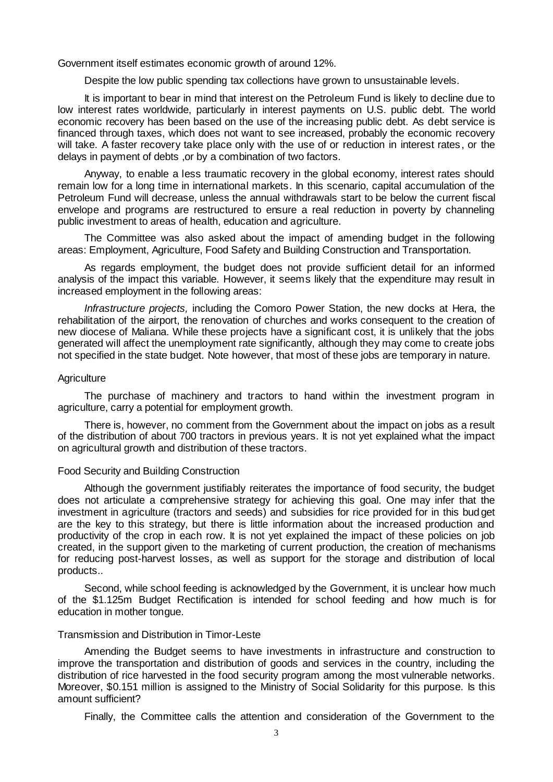Government itself estimates economic growth of around 12%.

Despite the low public spending tax collections have grown to unsustainable levels.

It is important to bear in mind that interest on the Petroleum Fund is likely to decline due to low interest rates worldwide, particularly in interest payments on U.S. public debt. The world economic recovery has been based on the use of the increasing public debt. As debt service is financed through taxes, which does not want to see increased, probably the economic recovery will take. A faster recovery take place only with the use of or reduction in interest rates, or the delays in payment of debts ,or by a combination of two factors.

Anyway, to enable a less traumatic recovery in the global economy, interest rates should remain low for a long time in international markets. In this scenario, capital accumulation of the Petroleum Fund will decrease, unless the annual withdrawals start to be below the current fiscal envelope and programs are restructured to ensure a real reduction in poverty by channeling public investment to areas of health, education and agriculture.

The Committee was also asked about the impact of amending budget in the following areas: Employment, Agriculture, Food Safety and Building Construction and Transportation.

As regards employment, the budget does not provide sufficient detail for an informed analysis of the impact this variable. However, it seems likely that the expenditure may result in increased employment in the following areas:

*Infrastructure projects,* including the Comoro Power Station, the new docks at Hera, the rehabilitation of the airport, the renovation of churches and works consequent to the creation of new diocese of Maliana. While these projects have a significant cost, it is unlikely that the jobs generated will affect the unemployment rate significantly, although they may come to create jobs not specified in the state budget. Note however, that most of these jobs are temporary in nature.

#### **Agriculture**

The purchase of machinery and tractors to hand within the investment program in agriculture, carry a potential for employment growth.

There is, however, no comment from the Government about the impact on jobs as a result of the distribution of about 700 tractors in previous years. It is not yet explained what the impact on agricultural growth and distribution of these tractors.

#### Food Security and Building Construction

Although the government justifiably reiterates the importance of food security, the budget does not articulate a comprehensive strategy for achieving this goal. One may infer that the investment in agriculture (tractors and seeds) and subsidies for rice provided for in this budget are the key to this strategy, but there is little information about the increased production and productivity of the crop in each row. It is not yet explained the impact of these policies on job created, in the support given to the marketing of current production, the creation of mechanisms for reducing post-harvest losses, as well as support for the storage and distribution of local products..

Second, while school feeding is acknowledged by the Government, it is unclear how much of the \$1.125m Budget Rectification is intended for school feeding and how much is for education in mother tongue.

### Transmission and Distribution in Timor-Leste

Amending the Budget seems to have investments in infrastructure and construction to improve the transportation and distribution of goods and services in the country, including the distribution of rice harvested in the food security program among the most vulnerable networks. Moreover, \$0.151 million is assigned to the Ministry of Social Solidarity for this purpose. Is this amount sufficient?

Finally, the Committee calls the attention and consideration of the Government to the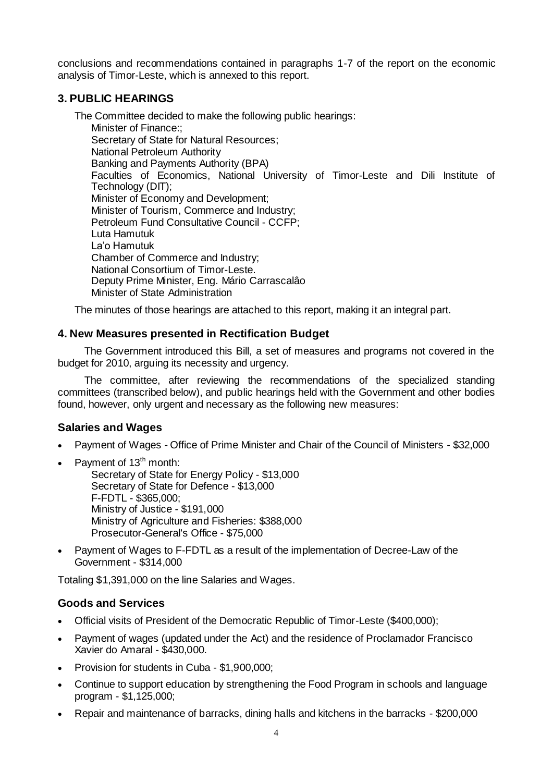conclusions and recommendations contained in paragraphs 1-7 of the report on the economic analysis of Timor-Leste, which is annexed to this report.

# **3. PUBLIC HEARINGS**

The Committee decided to make the following public hearings: Minister of Finance:; Secretary of State for Natural Resources; National Petroleum Authority Banking and Payments Authority (BPA) Faculties of Economics, National University of Timor-Leste and Dili Institute of Technology (DIT); Minister of Economy and Development; Minister of Tourism, Commerce and Industry; Petroleum Fund Consultative Council - CCFP; Luta Hamutuk La'o Hamutuk Chamber of Commerce and Industry; National Consortium of Timor-Leste. Deputy Prime Minister, Eng. Mário Carrascalâo Minister of State Administration

The minutes of those hearings are attached to this report, making it an integral part.

# **4. New Measures presented in Rectification Budget**

The Government introduced this Bill, a set of measures and programs not covered in the budget for 2010, arguing its necessity and urgency.

The committee, after reviewing the recommendations of the specialized standing committees (transcribed below), and public hearings held with the Government and other bodies found, however, only urgent and necessary as the following new measures:

# **Salaries and Wages**

- Payment of Wages Office of Prime Minister and Chair of the Council of Ministers \$32,000
- Payment of 13<sup>th</sup> month:

Secretary of State for Energy Policy - \$13,000 Secretary of State for Defence - \$13,000 F-FDTL - \$365,000; Ministry of Justice - \$191,000 Ministry of Agriculture and Fisheries: \$388,000 Prosecutor-General's Office - \$75,000

 Payment of Wages to F-FDTL as a result of the implementation of Decree-Law of the Government - \$314,000

Totaling \$1,391,000 on the line Salaries and Wages.

# **Goods and Services**

- Official visits of President of the Democratic Republic of Timor-Leste (\$400,000);
- Payment of wages (updated under the Act) and the residence of Proclamador Francisco Xavier do Amaral - \$430,000.
- Provision for students in Cuba \$1,900,000;
- Continue to support education by strengthening the Food Program in schools and language program - \$1,125,000;
- Repair and maintenance of barracks, dining halls and kitchens in the barracks \$200,000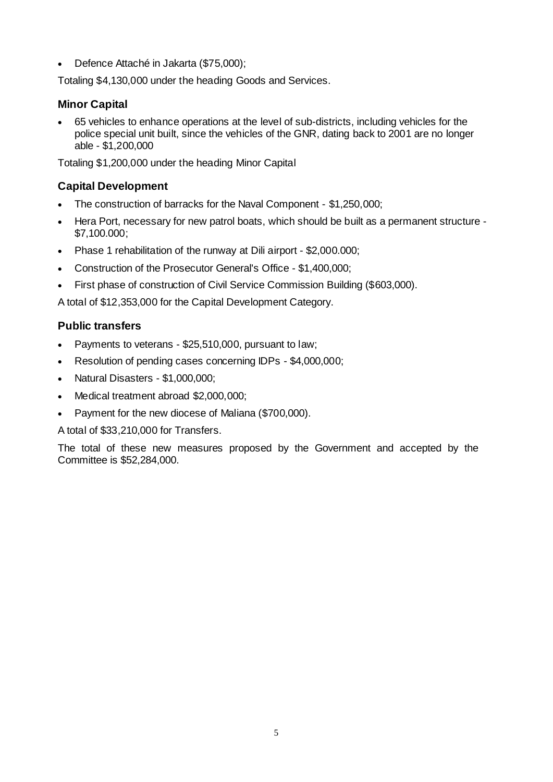Defence Attaché in Jakarta (\$75,000);

Totaling \$4,130,000 under the heading Goods and Services.

# **Minor Capital**

 65 vehicles to enhance operations at the level of sub-districts, including vehicles for the police special unit built, since the vehicles of the GNR, dating back to 2001 are no longer able - \$1,200,000

Totaling \$1,200,000 under the heading Minor Capital

# **Capital Development**

- The construction of barracks for the Naval Component \$1,250,000;
- Hera Port, necessary for new patrol boats, which should be built as a permanent structure \$7,100.000;
- Phase 1 rehabilitation of the runway at Dili airport \$2,000.000;
- Construction of the Prosecutor General's Office \$1,400,000;
- First phase of construction of Civil Service Commission Building (\$603,000).

A total of \$12,353,000 for the Capital Development Category.

# **Public transfers**

- Payments to veterans \$25,510,000, pursuant to law;
- Resolution of pending cases concerning IDPs \$4,000,000;
- Natural Disasters \$1,000,000;
- Medical treatment abroad \$2,000,000;
- Payment for the new diocese of Maliana (\$700,000).

A total of \$33,210,000 for Transfers.

The total of these new measures proposed by the Government and accepted by the Committee is \$52,284,000.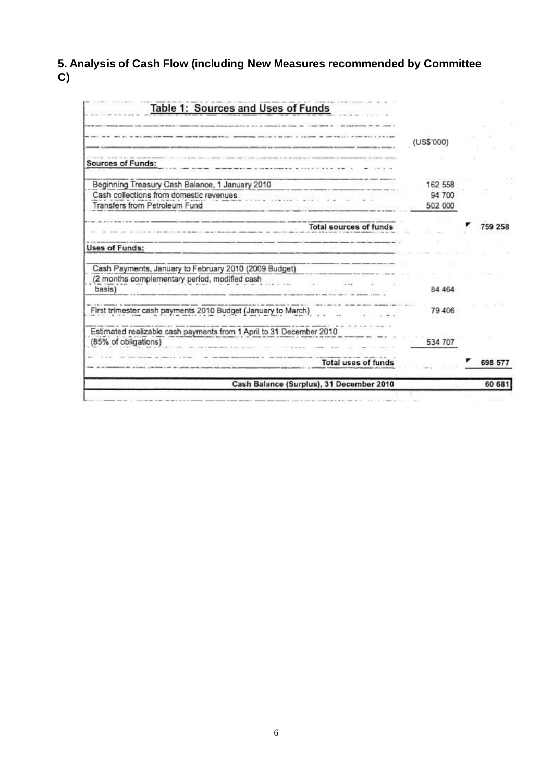**5. Analysis of Cash Flow (including New Measures recommended by Committee C)**

| Table 1: Sources and Uses of Funds                                                          |                   |         |
|---------------------------------------------------------------------------------------------|-------------------|---------|
|                                                                                             | (US\$'000)        |         |
| <b>Sources of Funds:</b>                                                                    |                   |         |
| Beginning Treasury Cash Balance, 1 January 2010                                             | 162 558           |         |
| Cash collections from domestic revenues<br>Transfers from Petroleum Fund                    | 94 700<br>502 000 |         |
| <b>Total sources of funds</b>                                                               |                   | 759 258 |
| <b>Uses of Funds:</b>                                                                       |                   |         |
| Cash Payments, January to February 2010 (2009 Budget)                                       |                   |         |
| (2 months complementary period, modified cash<br>basis)                                     | 84 4 64           |         |
| First trimester cash payments 2010 Budget (January to March)                                | 79 406            |         |
| Estimated realizable cash payments from 1 April to 31 December 2010<br>(85% of obligations) | 534 707           |         |
| <b>Total uses of funds</b>                                                                  |                   | 698 577 |
| Cash Balance (Surplus), 31 December 2010                                                    |                   | 60 681  |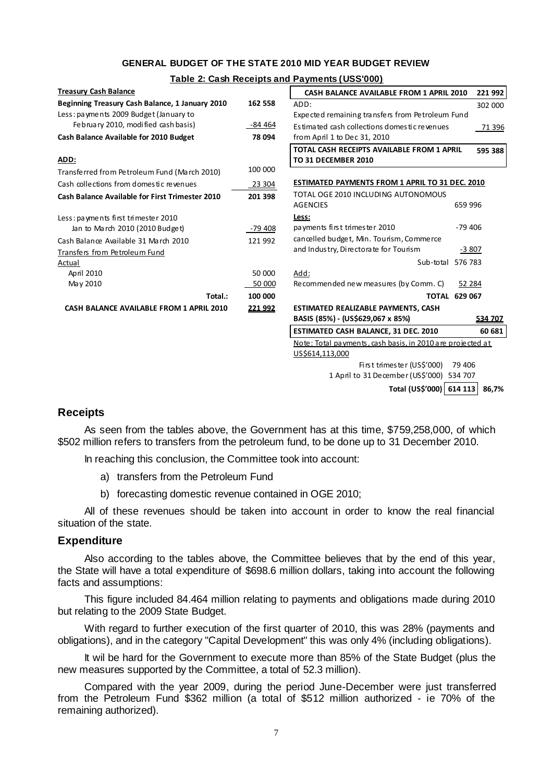### **GENERAL BUDGET OF THE STATE 2010 MID YEAR BUDGET REVIEW**

#### **Table 2: Cash Receipts and Payments (USS'000)**

| <b>Treasury Cash Balance</b>                           |         | CASH BALANCE AVAILABLE FROM 1 APRIL 2010                   | 221 992 |  |
|--------------------------------------------------------|---------|------------------------------------------------------------|---------|--|
| Beginning Treasury Cash Balance, 1 January 2010        | 162 558 | ADD:                                                       | 302 000 |  |
| Less: payments 2009 Budget (January to                 |         | Expected remaining transfers from Petroleum Fund           |         |  |
| February 2010, modified cash basis)                    | -84 464 | Estimated cash collections domestic revenues<br>71 396     |         |  |
| Cash Balance Available for 2010 Budget                 | 78 094  | from April 1 to Dec 31, 2010                               |         |  |
|                                                        |         | TOTAL CASH RECEIPTS AVAILABLE FROM 1 APRIL<br>595 388      |         |  |
| ADD:                                                   |         | TO 31 DECEMBER 2010                                        |         |  |
| Transferred from Petroleum Fund (March 2010)           | 100 000 |                                                            |         |  |
| Cash collections from domestic revenues                | 23 304  | <b>ESTIMATED PAYMENTS FROM 1 APRIL TO 31 DEC. 2010</b>     |         |  |
| <b>Cash Balance Available for First Trimester 2010</b> | 201 398 | TOTAL OGE 2010 INCLUDING AUTONOMOUS                        |         |  |
|                                                        |         | <b>AGENCIES</b>                                            | 659 996 |  |
| Less: payments first trimester 2010                    |         | Less:                                                      |         |  |
| Jan to March 2010 (2010 Budget)                        | -79 408 | payments first trimester 2010<br>$-79406$                  |         |  |
| Cash Balance Available 31 March 2010                   | 121 992 | cancelled budget, Min. Tourism, Commerce                   |         |  |
| Transfers from Petroleum Fund                          |         | and Industry, Directorate for Tourism                      | $-3807$ |  |
| Actual                                                 |         | Sub-total 576 783                                          |         |  |
| April 2010                                             | 50 000  | Add:                                                       |         |  |
| May 2010                                               | 50 000  | Recommended new measures (by Comm. C)                      | 52 284  |  |
| Total.:                                                | 100 000 | <b>TOTAL 629 067</b>                                       |         |  |
| CASH BALANCE AVAILABLE FROM 1 APRIL 2010               | 221 992 | <b>ESTIMATED REALIZABLE PAYMENTS, CASH</b>                 |         |  |
|                                                        |         | BASIS (85%) - (US\$629,067 x 85%)                          | 534 707 |  |
|                                                        |         | ESTIMATED CASH BALANCE, 31 DEC. 2010                       | 60 681  |  |
|                                                        |         | Note: Total payments, cash basis, in 2010 are projected at |         |  |
|                                                        |         | US\$614,113,000                                            |         |  |
|                                                        |         | First trimester (US\$'000)<br>79 40 6                      |         |  |
|                                                        |         | 1 April to 31 December (US\$'000)<br>534 707               |         |  |
|                                                        |         | Total (US\$'000) 614 113<br>86,7%                          |         |  |

### **Receipts**

As seen from the tables above, the Government has at this time, \$759,258,000, of which \$502 million refers to transfers from the petroleum fund, to be done up to 31 December 2010.

In reaching this conclusion, the Committee took into account:

- a) transfers from the Petroleum Fund
- b) forecasting domestic revenue contained in OGE 2010;

All of these revenues should be taken into account in order to know the real financial situation of the state.

### **Expenditure**

Also according to the tables above, the Committee believes that by the end of this year, the State will have a total expenditure of \$698.6 million dollars, taking into account the following facts and assumptions:

This figure included 84.464 million relating to payments and obligations made during 2010 but relating to the 2009 State Budget.

With regard to further execution of the first quarter of 2010, this was 28% (payments and obligations), and in the category "Capital Development" this was only 4% (including obligations).

It wil be hard for the Government to execute more than 85% of the State Budget (plus the new measures supported by the Committee, a total of 52.3 million).

Compared with the year 2009, during the period June-December were just transferred from the Petroleum Fund \$362 million (a total of \$512 million authorized - ie 70% of the remaining authorized).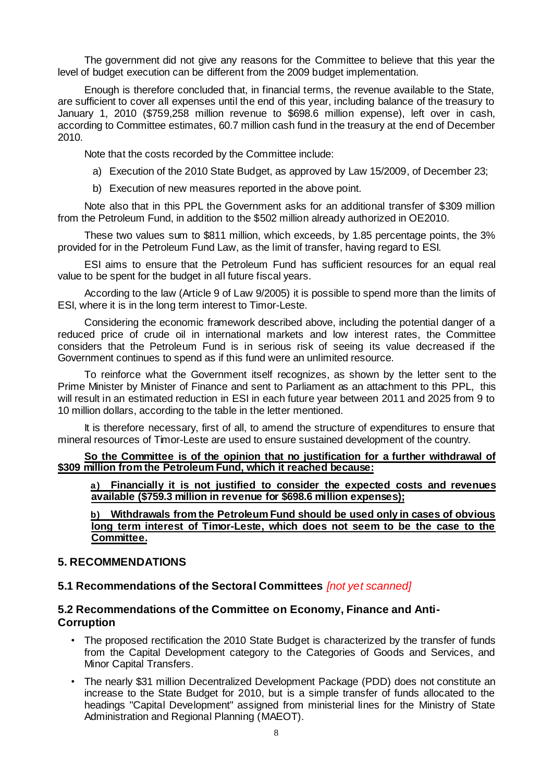The government did not give any reasons for the Committee to believe that this year the level of budget execution can be different from the 2009 budget implementation.

Enough is therefore concluded that, in financial terms, the revenue available to the State, are sufficient to cover all expenses until the end of this year, including balance of the treasury to January 1, 2010 (\$759,258 million revenue to \$698.6 million expense), left over in cash, according to Committee estimates, 60.7 million cash fund in the treasury at the end of December 2010.

Note that the costs recorded by the Committee include:

- a) Execution of the 2010 State Budget, as approved by Law 15/2009, of December 23;
- b) Execution of new measures reported in the above point.

Note also that in this PPL the Government asks for an additional transfer of \$309 million from the Petroleum Fund, in addition to the \$502 million already authorized in OE2010.

These two values sum to \$811 million, which exceeds, by 1.85 percentage points, the 3% provided for in the Petroleum Fund Law, as the limit of transfer, having regard to ESI.

ESI aims to ensure that the Petroleum Fund has sufficient resources for an equal real value to be spent for the budget in all future fiscal years.

According to the law (Article 9 of Law 9/2005) it is possible to spend more than the limits of ESI, where it is in the long term interest to Timor-Leste.

Considering the economic framework described above, including the potential danger of a reduced price of crude oil in international markets and low interest rates, the Committee considers that the Petroleum Fund is in serious risk of seeing its value decreased if the Government continues to spend as if this fund were an unlimited resource.

To reinforce what the Government itself recognizes, as shown by the letter sent to the Prime Minister by Minister of Finance and sent to Parliament as an attachment to this PPL, this will result in an estimated reduction in ESI in each future year between 2011 and 2025 from 9 to 10 million dollars, according to the table in the letter mentioned.

It is therefore necessary, first of all, to amend the structure of expenditures to ensure that mineral resources of Timor-Leste are used to ensure sustained development of the country.

**So the Committee is of the opinion that no justification for a further withdrawal of \$309 million from the Petroleum Fund, which it reached because:**

**a) Financially it is not justified to consider the expected costs and revenues available (\$759.3 million in revenue for \$698.6 million expenses);**

**b) Withdrawals from the Petroleum Fund should be used only in cases of obvious long term interest of Timor-Leste, which does not seem to be the case to the Committee.**

### **5. RECOMMENDATIONS**

### **5.1 Recommendations of the Sectoral Committees** *[not yet scanned]*

# **5.2 Recommendations of the Committee on Economy, Finance and Anti-Corruption**

- The proposed rectification the 2010 State Budget is characterized by the transfer of funds from the Capital Development category to the Categories of Goods and Services, and Minor Capital Transfers.
- The nearly \$31 million Decentralized Development Package (PDD) does not constitute an increase to the State Budget for 2010, but is a simple transfer of funds allocated to the headings "Capital Development" assigned from ministerial lines for the Ministry of State Administration and Regional Planning (MAEOT).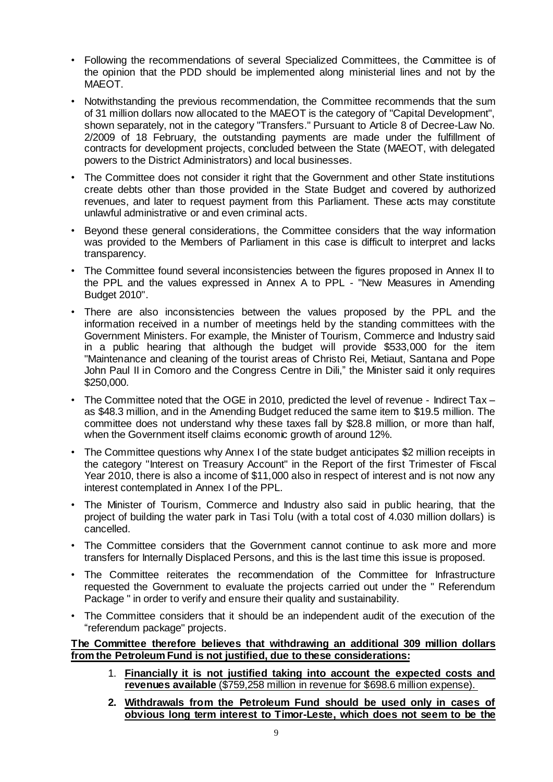- Following the recommendations of several Specialized Committees, the Committee is of the opinion that the PDD should be implemented along ministerial lines and not by the MAEOT.
- Notwithstanding the previous recommendation, the Committee recommends that the sum of 31 million dollars now allocated to the MAEOT is the category of "Capital Development", shown separately, not in the category "Transfers." Pursuant to Article 8 of Decree-Law No. 2/2009 of 18 February, the outstanding payments are made under the fulfillment of contracts for development projects, concluded between the State (MAEOT, with delegated powers to the District Administrators) and local businesses.
- The Committee does not consider it right that the Government and other State institutions create debts other than those provided in the State Budget and covered by authorized revenues, and later to request payment from this Parliament. These acts may constitute unlawful administrative or and even criminal acts.
- Beyond these general considerations, the Committee considers that the way information was provided to the Members of Parliament in this case is difficult to interpret and lacks transparency.
- The Committee found several inconsistencies between the figures proposed in Annex II to the PPL and the values expressed in Annex A to PPL - "New Measures in Amending Budget 2010".
- There are also inconsistencies between the values proposed by the PPL and the information received in a number of meetings held by the standing committees with the Government Ministers. For example, the Minister of Tourism, Commerce and Industry said in a public hearing that although the budget will provide \$533,000 for the item "Maintenance and cleaning of the tourist areas of Christo Rei, Metiaut, Santana and Pope John Paul II in Comoro and the Congress Centre in Dili," the Minister said it only requires \$250,000.
- The Committee noted that the OGE in 2010, predicted the level of revenue Indirect Tax as \$48.3 million, and in the Amending Budget reduced the same item to \$19.5 million. The committee does not understand why these taxes fall by \$28.8 million, or more than half, when the Government itself claims economic growth of around 12%.
- The Committee questions why Annex I of the state budget anticipates \$2 million receipts in the category "Interest on Treasury Account" in the Report of the first Trimester of Fiscal Year 2010, there is also a income of \$11,000 also in respect of interest and is not now any interest contemplated in Annex I of the PPL.
- The Minister of Tourism, Commerce and Industry also said in public hearing, that the project of building the water park in Tasi Tolu (with a total cost of 4.030 million dollars) is cancelled.
- The Committee considers that the Government cannot continue to ask more and more transfers for Internally Displaced Persons, and this is the last time this issue is proposed.
- The Committee reiterates the recommendation of the Committee for Infrastructure requested the Government to evaluate the projects carried out under the " Referendum Package " in order to verify and ensure their quality and sustainability.
- The Committee considers that it should be an independent audit of the execution of the "referendum package" projects.

# **The Committee therefore believes that withdrawing an additional 309 million dollars from the Petroleum Fund is not justified, due to these considerations:**

- 1. **Financially it is not justified taking into account the expected costs and revenues available** (\$759,258 million in revenue for \$698.6 million expense).
- **2. Withdrawals from the Petroleum Fund should be used only in cases of obvious long term interest to Timor-Leste, which does not seem to be the**